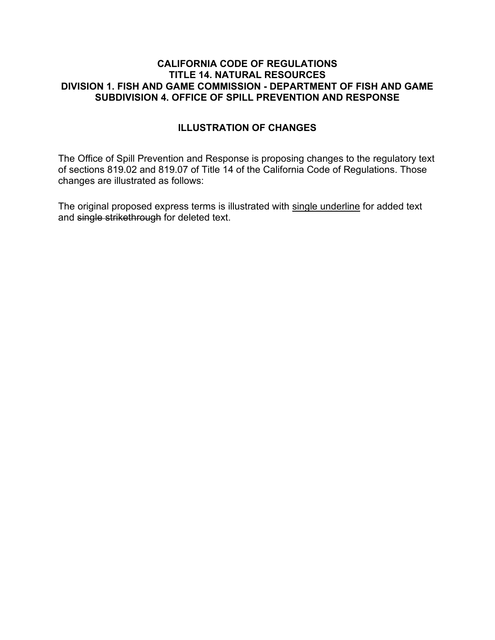#### **CALIFORNIA CODE OF REGULATIONS TITLE 14. NATURAL RESOURCES DIVISION 1. FISH AND GAME COMMISSION - DEPARTMENT OF FISH AND GAME SUBDIVISION 4. OFFICE OF SPILL PREVENTION AND RESPONSE**

## **ILLUSTRATION OF CHANGES**

The Office of Spill Prevention and Response is proposing changes to the regulatory text of sections 819.02 and 819.07 of Title 14 of the California Code of Regulations. Those changes are illustrated as follows:

The original proposed express terms is illustrated with single underline for added text and single strikethrough for deleted text.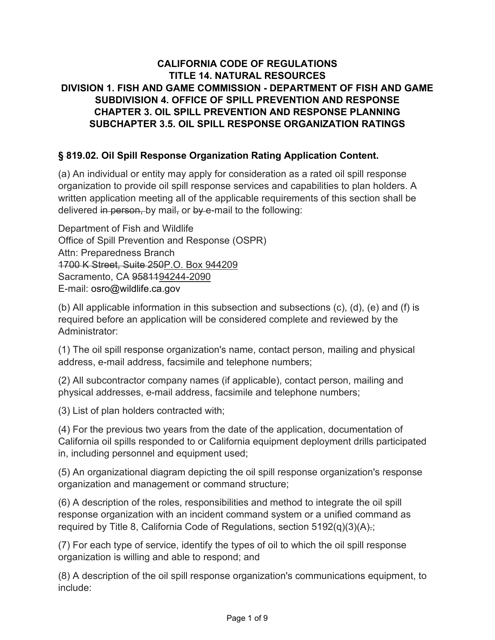# **CALIFORNIA CODE OF REGULATIONS TITLE 14. NATURAL RESOURCES DIVISION 1. FISH AND GAME COMMISSION - DEPARTMENT OF FISH AND GAME SUBDIVISION 4. OFFICE OF SPILL PREVENTION AND RESPONSE CHAPTER 3. OIL SPILL PREVENTION AND RESPONSE PLANNING SUBCHAPTER 3.5. OIL SPILL RESPONSE ORGANIZATION RATINGS**

## **§ 819.02. Oil Spill Response Organization Rating Application Content.**

(a) An individual or entity may apply for consideration as a rated oil spill response organization to provide oil spill response services and capabilities to plan holders. A written application meeting all of the applicable requirements of this section shall be delivered in person, by mail, or by e-mail to the following:

Department of Fish and Wildlife Office of Spill Prevention and Response (OSPR) Attn: Preparedness Branch 1700 K Street, Suite 250P.O. Box 944209 Sacramento, CA 9581194244-2090 E-mail: osro@wildlife.ca.gov

(b) All applicable information in this subsection and subsections (c), (d), (e) and (f) is required before an application will be considered complete and reviewed by the Administrator:

(1) The oil spill response organization's name, contact person, mailing and physical address, e-mail address, facsimile and telephone numbers;

(2) All subcontractor company names (if applicable), contact person, mailing and physical addresses, e-mail address, facsimile and telephone numbers;

(3) List of plan holders contracted with;

(4) For the previous two years from the date of the application, documentation of California oil spills responded to or California equipment deployment drills participated in, including personnel and equipment used;

(5) An organizational diagram depicting the oil spill response organization's response organization and management or command structure;

(6) A description of the roles, responsibilities and method to integrate the oil spill response organization with an incident command system or a unified command as required by Title 8, California Code of Regulations, section 5192(q)(3)(A).;

(7) For each type of service, identify the types of oil to which the oil spill response organization is willing and able to respond; and

(8) A description of the oil spill response organization's communications equipment, to include: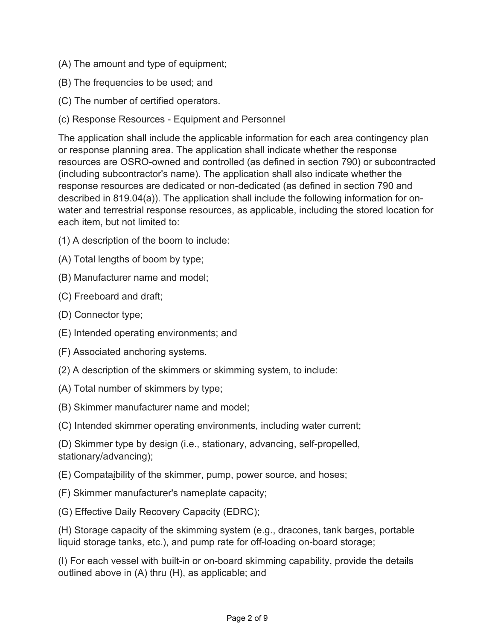- (A) The amount and type of equipment;
- (B) The frequencies to be used; and
- (C) The number of certified operators.
- (c) Response Resources Equipment and Personnel

The application shall include the applicable information for each area contingency plan or response planning area. The application shall indicate whether the response resources are OSRO-owned and controlled (as defined in section 790) or subcontracted (including subcontractor's name). The application shall also indicate whether the response resources are dedicated or non-dedicated (as defined in section 790 and described in 819.04(a)). The application shall include the following information for onwater and terrestrial response resources, as applicable, including the stored location for each item, but not limited to:

- (1) A description of the boom to include:
- (A) Total lengths of boom by type;
- (B) Manufacturer name and model;
- (C) Freeboard and draft;
- (D) Connector type;
- (E) Intended operating environments; and
- (F) Associated anchoring systems.
- (2) A description of the skimmers or skimming system, to include:
- (A) Total number of skimmers by type;
- (B) Skimmer manufacturer name and model;

(C) Intended skimmer operating environments, including water current;

(D) Skimmer type by design (i.e., stationary, advancing, self-propelled, stationary/advancing);

(E) Compataibility of the skimmer, pump, power source, and hoses;

- (F) Skimmer manufacturer's nameplate capacity;
- (G) Effective Daily Recovery Capacity (EDRC);

(H) Storage capacity of the skimming system (e.g., dracones, tank barges, portable liquid storage tanks, etc.), and pump rate for off-loading on-board storage;

(I) For each vessel with built-in or on-board skimming capability, provide the details outlined above in (A) thru (H), as applicable; and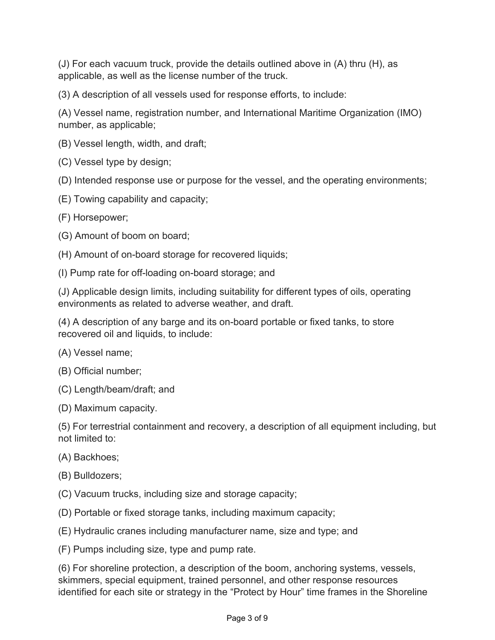(J) For each vacuum truck, provide the details outlined above in (A) thru (H), as applicable, as well as the license number of the truck.

(3) A description of all vessels used for response efforts, to include:

(A) Vessel name, registration number, and International Maritime Organization (IMO) number, as applicable;

(B) Vessel length, width, and draft;

(C) Vessel type by design;

(D) Intended response use or purpose for the vessel, and the operating environments;

(E) Towing capability and capacity;

(F) Horsepower;

(G) Amount of boom on board;

(H) Amount of on-board storage for recovered liquids;

(I) Pump rate for off-loading on-board storage; and

(J) Applicable design limits, including suitability for different types of oils, operating environments as related to adverse weather, and draft.

(4) A description of any barge and its on-board portable or fixed tanks, to store recovered oil and liquids, to include:

(A) Vessel name;

(B) Official number;

(C) Length/beam/draft; and

(D) Maximum capacity.

(5) For terrestrial containment and recovery, a description of all equipment including, but not limited to:

(A) Backhoes;

(B) Bulldozers;

(C) Vacuum trucks, including size and storage capacity;

(D) Portable or fixed storage tanks, including maximum capacity;

(E) Hydraulic cranes including manufacturer name, size and type; and

(F) Pumps including size, type and pump rate.

(6) For shoreline protection, a description of the boom, anchoring systems, vessels, skimmers, special equipment, trained personnel, and other response resources identified for each site or strategy in the "Protect by Hour" time frames in the Shoreline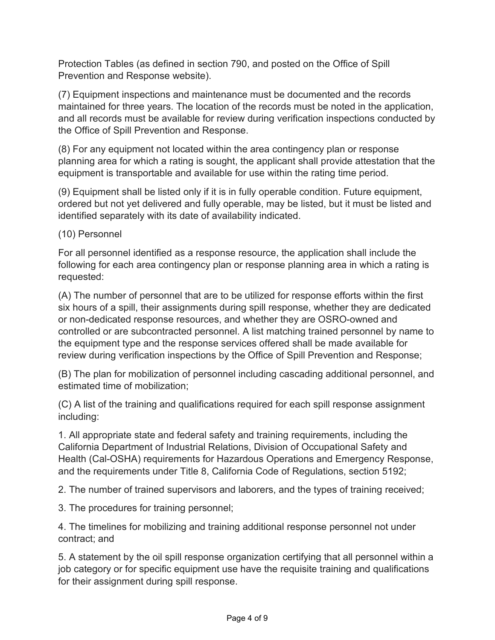Protection Tables (as defined in section 790, and posted on the Office of Spill Prevention and Response website).

(7) Equipment inspections and maintenance must be documented and the records maintained for three years. The location of the records must be noted in the application, and all records must be available for review during verification inspections conducted by the Office of Spill Prevention and Response.

(8) For any equipment not located within the area contingency plan or response planning area for which a rating is sought, the applicant shall provide attestation that the equipment is transportable and available for use within the rating time period.

(9) Equipment shall be listed only if it is in fully operable condition. Future equipment, ordered but not yet delivered and fully operable, may be listed, but it must be listed and identified separately with its date of availability indicated.

(10) Personnel

For all personnel identified as a response resource, the application shall include the following for each area contingency plan or response planning area in which a rating is requested:

(A) The number of personnel that are to be utilized for response efforts within the first six hours of a spill, their assignments during spill response, whether they are dedicated or non-dedicated response resources, and whether they are OSRO-owned and controlled or are subcontracted personnel. A list matching trained personnel by name to the equipment type and the response services offered shall be made available for review during verification inspections by the Office of Spill Prevention and Response;

(B) The plan for mobilization of personnel including cascading additional personnel, and estimated time of mobilization;

(C) A list of the training and qualifications required for each spill response assignment including:

1. All appropriate state and federal safety and training requirements, including the California Department of Industrial Relations, Division of Occupational Safety and Health (Cal-OSHA) requirements for Hazardous Operations and Emergency Response, and the requirements under Title 8, California Code of Regulations, section 5192;

2. The number of trained supervisors and laborers, and the types of training received;

3. The procedures for training personnel;

4. The timelines for mobilizing and training additional response personnel not under contract; and

5. A statement by the oil spill response organization certifying that all personnel within a job category or for specific equipment use have the requisite training and qualifications for their assignment during spill response.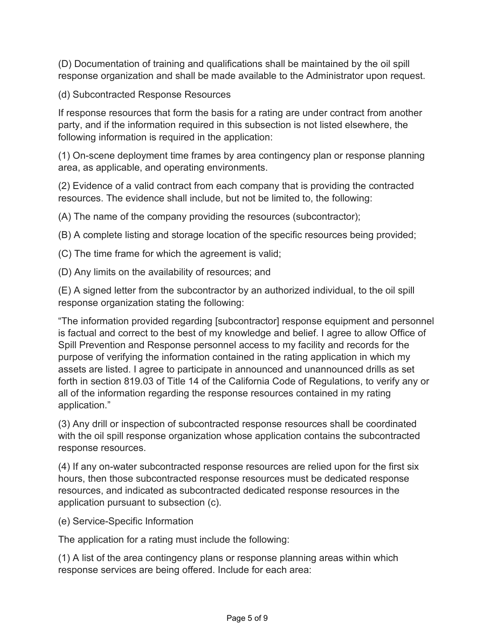(D) Documentation of training and qualifications shall be maintained by the oil spill response organization and shall be made available to the Administrator upon request.

(d) Subcontracted Response Resources

If response resources that form the basis for a rating are under contract from another party, and if the information required in this subsection is not listed elsewhere, the following information is required in the application:

(1) On-scene deployment time frames by area contingency plan or response planning area, as applicable, and operating environments.

(2) Evidence of a valid contract from each company that is providing the contracted resources. The evidence shall include, but not be limited to, the following:

(A) The name of the company providing the resources (subcontractor);

(B) A complete listing and storage location of the specific resources being provided;

(C) The time frame for which the agreement is valid;

(D) Any limits on the availability of resources; and

(E) A signed letter from the subcontractor by an authorized individual, to the oil spill response organization stating the following:

"The information provided regarding [subcontractor] response equipment and personnel is factual and correct to the best of my knowledge and belief. I agree to allow Office of Spill Prevention and Response personnel access to my facility and records for the purpose of verifying the information contained in the rating application in which my assets are listed. I agree to participate in announced and unannounced drills as set forth in section 819.03 of Title 14 of the California Code of Regulations, to verify any or all of the information regarding the response resources contained in my rating application."

(3) Any drill or inspection of subcontracted response resources shall be coordinated with the oil spill response organization whose application contains the subcontracted response resources.

(4) If any on-water subcontracted response resources are relied upon for the first six hours, then those subcontracted response resources must be dedicated response resources, and indicated as subcontracted dedicated response resources in the application pursuant to subsection (c).

(e) Service-Specific Information

The application for a rating must include the following:

(1) A list of the area contingency plans or response planning areas within which response services are being offered. Include for each area: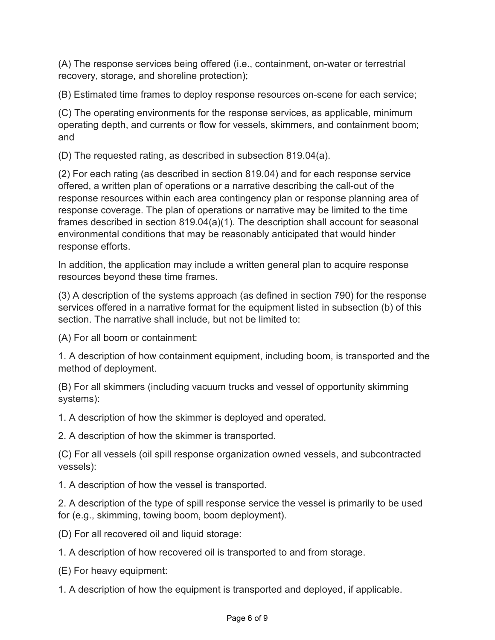(A) The response services being offered (i.e., containment, on-water or terrestrial recovery, storage, and shoreline protection);

(B) Estimated time frames to deploy response resources on-scene for each service;

(C) The operating environments for the response services, as applicable, minimum operating depth, and currents or flow for vessels, skimmers, and containment boom; and

(D) The requested rating, as described in subsection 819.04(a).

(2) For each rating (as described in section 819.04) and for each response service offered, a written plan of operations or a narrative describing the call-out of the response resources within each area contingency plan or response planning area of response coverage. The plan of operations or narrative may be limited to the time frames described in section 819.04(a)(1). The description shall account for seasonal environmental conditions that may be reasonably anticipated that would hinder response efforts.

In addition, the application may include a written general plan to acquire response resources beyond these time frames.

(3) A description of the systems approach (as defined in section 790) for the response services offered in a narrative format for the equipment listed in subsection (b) of this section. The narrative shall include, but not be limited to:

(A) For all boom or containment:

1. A description of how containment equipment, including boom, is transported and the method of deployment.

(B) For all skimmers (including vacuum trucks and vessel of opportunity skimming systems):

1. A description of how the skimmer is deployed and operated.

2. A description of how the skimmer is transported.

(C) For all vessels (oil spill response organization owned vessels, and subcontracted vessels):

1. A description of how the vessel is transported.

2. A description of the type of spill response service the vessel is primarily to be used for (e.g., skimming, towing boom, boom deployment).

(D) For all recovered oil and liquid storage:

1. A description of how recovered oil is transported to and from storage.

(E) For heavy equipment:

1. A description of how the equipment is transported and deployed, if applicable.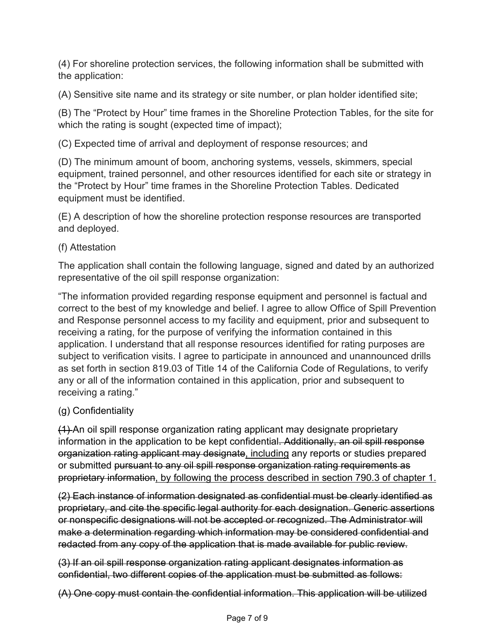(4) For shoreline protection services, the following information shall be submitted with the application:

(A) Sensitive site name and its strategy or site number, or plan holder identified site;

(B) The "Protect by Hour" time frames in the Shoreline Protection Tables, for the site for which the rating is sought (expected time of impact);

(C) Expected time of arrival and deployment of response resources; and

(D) The minimum amount of boom, anchoring systems, vessels, skimmers, special equipment, trained personnel, and other resources identified for each site or strategy in the "Protect by Hour" time frames in the Shoreline Protection Tables. Dedicated equipment must be identified.

(E) A description of how the shoreline protection response resources are transported and deployed.

### (f) Attestation

The application shall contain the following language, signed and dated by an authorized representative of the oil spill response organization:

"The information provided regarding response equipment and personnel is factual and correct to the best of my knowledge and belief. I agree to allow Office of Spill Prevention and Response personnel access to my facility and equipment, prior and subsequent to receiving a rating, for the purpose of verifying the information contained in this application. I understand that all response resources identified for rating purposes are subject to verification visits. I agree to participate in announced and unannounced drills as set forth in section 819.03 of Title 14 of the California Code of Regulations, to verify any or all of the information contained in this application, prior and subsequent to receiving a rating."

### (g) Confidentiality

(1) An oil spill response organization rating applicant may designate proprietary information in the application to be kept confidential. Additionally, an oil spill response organization rating applicant may designate, including any reports or studies prepared or submitted pursuant to any oil spill response organization rating requirements as proprietary information, by following the process described in section 790.3 of chapter 1.

(2) Each instance of information designated as confidential must be clearly identified as proprietary, and cite the specific legal authority for each designation. Generic assertions or nonspecific designations will not be accepted or recognized. The Administrator will make a determination regarding which information may be considered confidential and redacted from any copy of the application that is made available for public review.

(3) If an oil spill response organization rating applicant designates information as confidential, two different copies of the application must be submitted as follows:

(A) One copy must contain the confidential information. This application will be utilized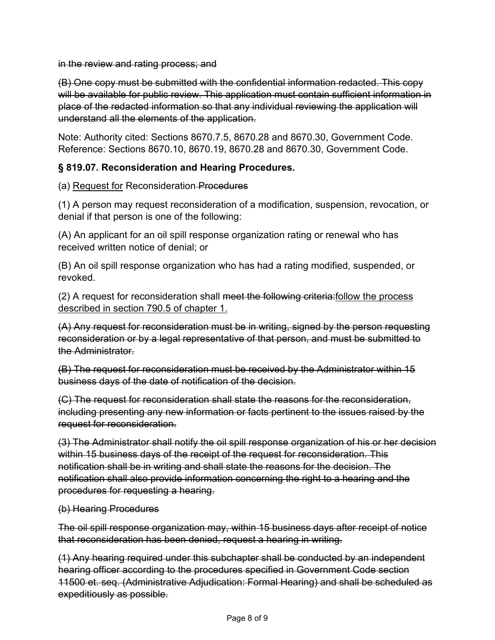in the review and rating process; and

(B) One copy must be submitted with the confidential information redacted. This copy will be available for public review. This application must contain sufficient information in place of the redacted information so that any individual reviewing the application will understand all the elements of the application.

Note: Authority cited: Sections 8670.7.5, 8670.28 and 8670.30, Government Code. Reference: Sections 8670.10, 8670.19, 8670.28 and 8670.30, Government Code.

### **§ 819.07. Reconsideration and Hearing Procedures.**

(a) Request for Reconsideration Procedures

(1) A person may request reconsideration of a modification, suspension, revocation, or denial if that person is one of the following:

(A) An applicant for an oil spill response organization rating or renewal who has received written notice of denial; or

(B) An oil spill response organization who has had a rating modified, suspended, or revoked.

(2) A request for reconsideration shall meet the following criteria:follow the process described in section 790.5 of chapter 1.

(A) Any request for reconsideration must be in writing, signed by the person requesting reconsideration or by a legal representative of that person, and must be submitted to the Administrator.

(B) The request for reconsideration must be received by the Administrator within 15 business days of the date of notification of the decision.

(C) The request for reconsideration shall state the reasons for the reconsideration, including presenting any new information or facts pertinent to the issues raised by the request for reconsideration.

(3) The Administrator shall notify the oil spill response organization of his or her decision within 15 business days of the receipt of the request for reconsideration. This notification shall be in writing and shall state the reasons for the decision. The notification shall also provide information concerning the right to a hearing and the procedures for requesting a hearing.

#### (b) Hearing Procedures

The oil spill response organization may, within 15 business days after receipt of notice that reconsideration has been denied, request a hearing in writing.

(1) Any hearing required under this subchapter shall be conducted by an independent hearing officer according to the procedures specified in Government Code section 11500 et. seq. (Administrative Adjudication: Formal Hearing) and shall be scheduled as expeditiously as possible.